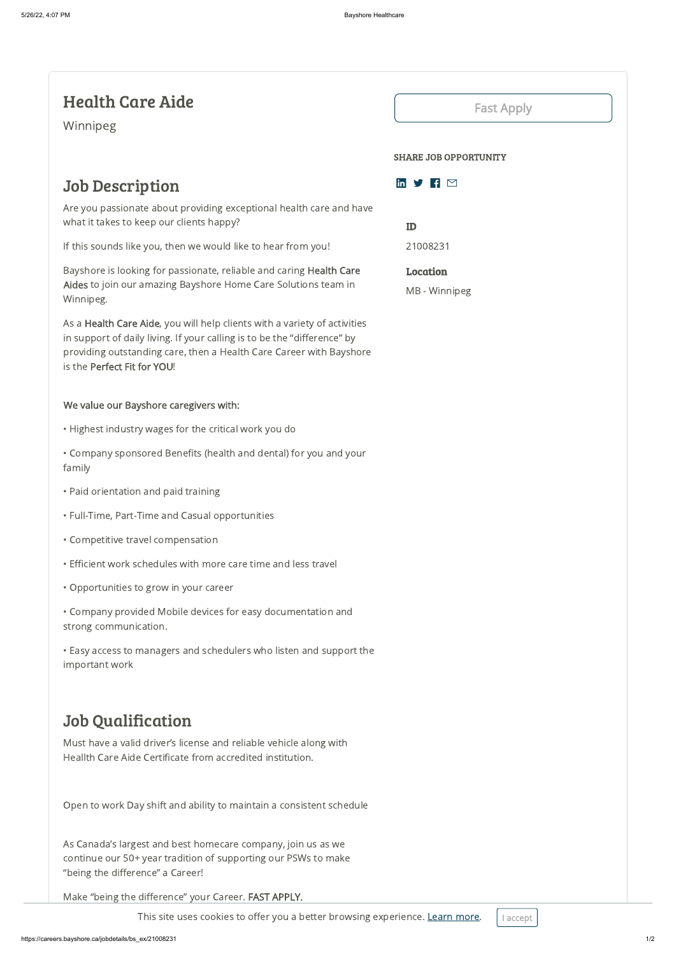# Job Description

Are you passionate about providing exceptional health care and have what it takes to keep our clients happy?

If this sounds like you, then we would like to hear from you!

Bayshore is looking for passionate, reliable and caring Health Care Aides to join our amazing Bayshore Home Care Solutions team in Winnipeg.

As a Health Care Aide, you will help clients with a variety of activities in support of daily living. If your calling is to be the "difference" by providing outstanding care, then a Health Care Career with Bayshore is the Perfect Fit for YOU!

### We value our Bayshore caregivers with:

- Highest industry wages for the critical work you do
- Company sponsored Benefits (health and dental) for you and your family
- Paid orientation and paid training
- Full-Time, Part-Time and Casual opportunities
- Competitive travel compensation
- Efficient work schedules with more care time and less travel
- Opportunities to grow in your career

• Company provided Mobile devices for easy documentation and strong communication.

• Easy access to managers and schedulers who listen and support the important work

# in  $\mathcal{Y}$  F  $\Box$

# Job Qualification

Must have a valid driver's license and reliable vehicle along with Heallth Care Aide Certificate from accredited institution.

Open to work Day shift and ability to maintain a consistent schedule

As Canada's largest and best homecare company, join us as we continue our 50+ year tradition of supporting our PSWs to make "being the difference" a Career!

Make "being the difference" your Career. FAST APPLY.

This site uses cookies to offer you a better browsing experience. [Learn](https://www.bayshore.ca/privacy-policy/) more.  $\vert$  I accept



# Health Care Aide

Winnipeg

## Fast [Apply](https://careers.bayshore.ca/apply?job=21008231§ion=bs_ex)

#### SHARE JOB OPPORTUNITY

ID 21008231

Location

MB - Winnipeg